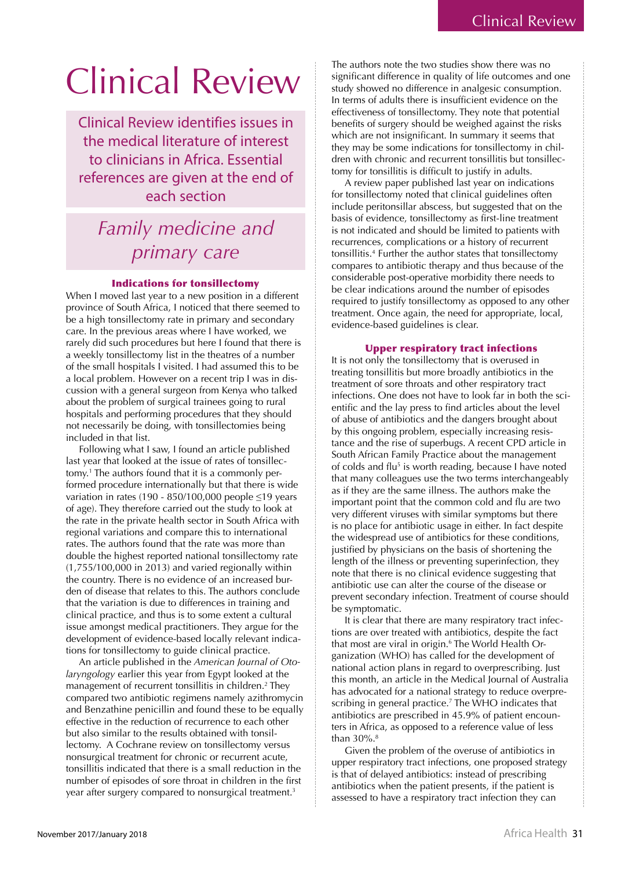# Clinical Review

Clinical Review identifies issues in the medical literature of interest to clinicians in Africa. Essential references are given at the end of each section

## *Family medicine and primary care*

### Indications for tonsillectomy

When I moved last year to a new position in a different province of South Africa, I noticed that there seemed to be a high tonsillectomy rate in primary and secondary care. In the previous areas where I have worked, we rarely did such procedures but here I found that there is a weekly tonsillectomy list in the theatres of a number of the small hospitals I visited. I had assumed this to be a local problem. However on a recent trip I was in discussion with a general surgeon from Kenya who talked about the problem of surgical trainees going to rural hospitals and performing procedures that they should not necessarily be doing, with tonsillectomies being included in that list.

Following what I saw, I found an article published last year that looked at the issue of rates of tonsillectomy.<sup>1</sup> The authors found that it is a commonly performed procedure internationally but that there is wide variation in rates (190 - 850/100,000 people  $\leq$ 19 years of age). They therefore carried out the study to look at the rate in the private health sector in South Africa with regional variations and compare this to international rates. The authors found that the rate was more than double the highest reported national tonsillectomy rate  $(1,755/100,000$  in 2013) and varied regionally within the country. There is no evidence of an increased burden of disease that relates to this. The authors conclude that the variation is due to differences in training and clinical practice, and thus is to some extent a cultural issue amongst medical practitioners. They argue for the development of evidence-based locally relevant indications for tonsillectomy to guide clinical practice.

An article published in the *American Journal of Otolaryngology* earlier this year from Egypt looked at the management of recurrent tonsillitis in children.<sup>2</sup> They compared two antibiotic regimens namely azithromycin and Benzathine penicillin and found these to be equally effective in the reduction of recurrence to each other but also similar to the results obtained with tonsillectomy. A Cochrane review on tonsillectomy versus nonsurgical treatment for chronic or recurrent acute, tonsillitis indicated that there is a small reduction in the number of episodes of sore throat in children in the first year after surgery compared to nonsurgical treatment.<sup>3</sup>

benefits of surgery should be weighed against the risks<br>which are not insignificant. In summary it seems that The authors note the two studies show there was no significant difference in quality of life outcomes and one study showed no difference in analgesic consumption. In terms of adults there is insufficient evidence on the effectiveness of tonsillectomy. They note that potential which are not insignificant. In summary it seems that they may be some indications for tonsillectomy in children with chronic and recurrent tonsillitis but tonsillectomy for tonsillitis is difficult to justify in adults.

A review paper published last year on indications for tonsillectomy noted that clinical guidelines often include peritonsillar abscess, but suggested that on the basis of evidence, tonsillectomy as first-line treatment is not indicated and should be limited to patients with recurrences, complications or a history of recurrent tonsillitis.<sup>4</sup> Further the author states that tonsillectomy compares to antibiotic therapy and thus because of the considerable post-operative morbidity there needs to be clear indications around the number of episodes required to justify tonsillectomy as opposed to any other treatment. Once again, the need for appropriate, local, evidence-based guidelines is clear.

### Upper respiratory tract infections

It is not only the tonsillectomy that is overused in treating tonsillitis but more broadly antibiotics in the treatment of sore throats and other respiratory tract infections. One does not have to look far in both the scientific and the lay press to find articles about the level of abuse of antibiotics and the dangers brought about by this ongoing problem, especially increasing resistance and the rise of superbugs. A recent CPD article in South African Family Practice about the management of colds and flu<sup>5</sup> is worth reading, because I have noted that many colleagues use the two terms interchangeably as if they are the same illness. The authors make the important point that the common cold and flu are two very different viruses with similar symptoms but there is no place for antibiotic usage in either. In fact despite the widespread use of antibiotics for these conditions, justified by physicians on the basis of shortening the length of the illness or preventing superinfection, they note that there is no clinical evidence suggesting that antibiotic use can alter the course of the disease or prevent secondary infection. Treatment of course should be symptomatic.

It is clear that there are many respiratory tract infections are over treated with antibiotics, despite the fact that most are viral in origin.<sup>6</sup> The World Health Organization (WHO) has called for the development of national action plans in regard to overprescribing. Just this month, an article in the Medical Journal of Australia has advocated for a national strategy to reduce overprescribing in general practice.<sup>7</sup> The WHO indicates that antibiotics are prescribed in 45.9% of patient encounters in Africa, as opposed to a reference value of less than 30%.<sup>8</sup>

Given the problem of the overuse of antibiotics in upper respiratory tract infections, one proposed strategy is that of delayed antibiotics: instead of prescribing antibiotics when the patient presents, if the patient is assessed to have a respiratory tract infection they can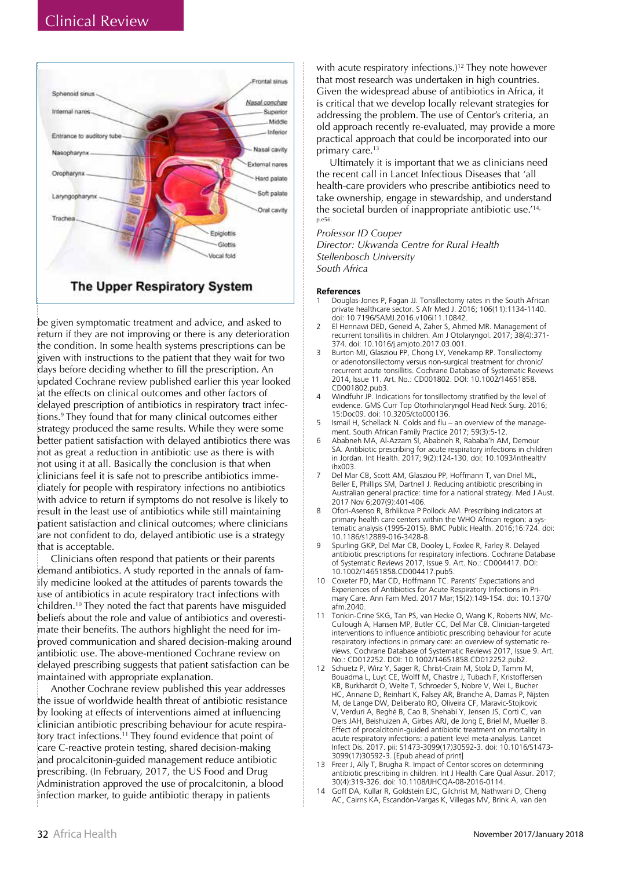

### The Upper Respiratory System

be given symptomatic treatment and advice, and asked to return if they are not improving or there is any deterioration the condition. In some health systems prescriptions can be given with instructions to the patient that they wait for two days before deciding whether to fill the prescription. An updated Cochrane review published earlier this year looked at the effects on clinical outcomes and other factors of delayed prescription of antibiotics in respiratory tract infections.<sup>9</sup> They found that for many clinical outcomes either strategy produced the same results. While they were some better patient satisfaction with delayed antibiotics there was not as great a reduction in antibiotic use as there is with not using it at all. Basically the conclusion is that when clinicians feel it is safe not to prescribe antibiotics immediately for people with respiratory infections no antibiotics with advice to return if symptoms do not resolve is likely to result in the least use of antibiotics while still maintaining patient satisfaction and clinical outcomes; where clinicians are not confident to do, delayed antibiotic use is a strategy that is acceptable.

Clinicians often respond that patients or their parents demand antibiotics. A study reported in the annals of family medicine looked at the attitudes of parents towards the use of antibiotics in acute respiratory tract infections with children.<sup>10</sup> They noted the fact that parents have misguided beliefs about the role and value of antibiotics and overestimate their benefits. The authors highlight the need for improved communication and shared decision-making around antibiotic use. The above-mentioned Cochrane review on delayed prescribing suggests that patient satisfaction can be maintained with appropriate explanation.

Another Cochrane review published this year addresses the issue of worldwide health threat of antibiotic resistance by looking at effects of interventions aimed at influencing clinician antibiotic prescribing behaviour for acute respiratory tract infections.<sup>11</sup> They found evidence that point of care C-reactive protein testing, shared decision-making and procalcitonin-guided management reduce antibiotic prescribing. (In February, 2017, the US Food and Drug Administration approved the use of procalcitonin, a blood infection marker, to guide antibiotic therapy in patients

with acute respiratory infections.)<sup>12</sup> They note however that most research was undertaken in high countries. Given the widespread abuse of antibiotics in Africa, it is critical that we develop locally relevant strategies for addressing the problem. The use of Centor's criteria, an old approach recently re-evaluated, may provide a more practical approach that could be incorporated into our primary care.<sup>13</sup>

Ultimately it is important that we as clinicians need the recent call in Lancet Infectious Diseases that 'all health-care providers who prescribe antibiotics need to take ownership, engage in stewardship, and understand the societal burden of inappropriate antibiotic use.'<sup>14,</sup> p.e56

### Professor ID Couper

Director: Ukwanda Centre for Rural Health Stellenbosch University South Africa

#### **References**

- Douglas-Jones P, Fagan JJ. Tonsillectomy rates in the South African private healthcare sector. S Afr Med J. 2016; 106(11):1134-1140. doi: 10.7196/SAMJ.2016.v106i11.10842.
- $\overline{z}$ El Hennawi DED, Geneid A, Zaher S, Ahmed MR. Management of recurrent tonsillitis in children. Am J Otolaryngol. 2017; 38(4):371-374. doi: 10.1016/j.amjoto.2017.03.001.
- $\overline{\mathbf{z}}$ Burton MJ, Glasziou PP, Chong LY, Venekamp RP. Tonsillectomy or adenotonsillectomy versus non-surgical treatment for chronic/ recurrent acute tonsiliitis. Cochrane Database of Systematic Reviews 2014, Issue 11, Art. No.: CD001802, DOI: 10,1002/14651858. CD001802.pub3.
- Windfuhr JP. Indications for tonsillectomy stratified by the level of evidence. GMS Curr Top Otorhinolaryngol Head Neck Surg. 2016; 15:Doc09. doi: 10.3205/cto000136.
- Ismail H, Schellack N. Colds and flu an overview of the management. South African Family Practice 2017; 59(3):5-12.
- Ababneh MA, Al-Azzam SI, Ababneh R, Rababa'h AM, Demour SA. Antibiotic prescribing for acute respiratory infections in children in Jordan. Int Health. 2017; 9(2):124-130. doi: 10.1093/inthealth/ FOOxdi
- $\overline{7}$ Del Mar CB, Scott AM, Glasziou PP, Hoffmann T, van Driel ML, Beller E, Phillips SM, Dartnell J. Reducing antibiotic prescribing in Australian general practice: time for a national strategy. Med J Aust. 2017 Nov 6:207(9):401-406.
- $\mathsf{R}$ Ofori-Asenso R, Brhlikova P Pollock AM. Prescribing indicators at primary health care centers within the WHO African region: a systematic analysis (1995-2015). BMC Public Health. 2016;16:724. doi: 10.1186/s12889-016-3428-8.
- $\overline{q}$ Spurling GKP, Del Mar CB, Dooley L, Foxlee R, Farley R. Delayed antibiotic prescriptions for respiratory infections. Cochrane Database of Systematic Reviews 2017, Issue 9. Art. No.: CD004417. DOI: 10.1002/14651858.CD004417.pub5.
- $10<sup>1</sup>$ Coxeter PD, Mar CD, Hoffmann TC. Parents' Expectations and Experiences of Antibiotics for Acute Respiratory Infections in Primary Care. Ann Fam Med. 2017 Mar; 15(2):149-154. doi: 10.1370/ afm.2040.
- $11$ Tonkin-Crine SKG, Tan PS, van Hecke O, Wang K, Roberts NW, Mc-Cullough A, Hansen MP, Butler CC, Del Mar CB. Clinician-targeted interventions to influence antibiotic prescribing behaviour for acute respiratory infections in primary care: an overview of systematic reviews. Cochrane Database of Systematic Reviews 2017, Issue 9. Art. No.: CD012252. DOI: 10.1002/14651858.CD012252.pub2.
- 12 Schuetz P, Wirz Y, Sager R, Christ-Crain M, Stolz D, Tamm M, Bouadma L, Luyt CE, Wolff M, Chastre J, Tubach F, Kristoffersen KB, Burkhardt O, Welte T, Schroeder S, Nobre V, Wei L, Bucher HC, Annane D, Reinhart K, Falsey AR, Branche A, Damas P, Nijsten M, de Lange DW, Deliberato RO, Oliveira CF, Maravic-Stojkovic V, Verduri A, Beghé B, Cao B, Shehabi Y, Jensen JS, Corti C, van Oers JAH, Beishuizen A, Girbes ARJ, de Jong E, Briel M, Mueller B. Effect of procalcitonin-guided antibiotic treatment on mortality in acute respiratory infections: a patient level meta-analysis. Lancet Infect Dis. 2017. pii: S1473-3099(17)30592-3. doi: 10.1016/S1473-3099(17)30592-3. [Epub ahead of print]
- 13 Freer J, Ally T, Brugha R. Impact of Centor scores on determining antibiotic prescribing in children. Int J Health Care Qual Assur. 2017; 30(4):319-326. doi: 10.1108/IJHCQA-08-2016-0114.
- 14 Goff DA, Kullar R, Goldstein EJC, Gilchrist M, Nathwani D, Cheng AC, Cairns KA, Escandón-Vargas K, Villegas MV, Brink A, van den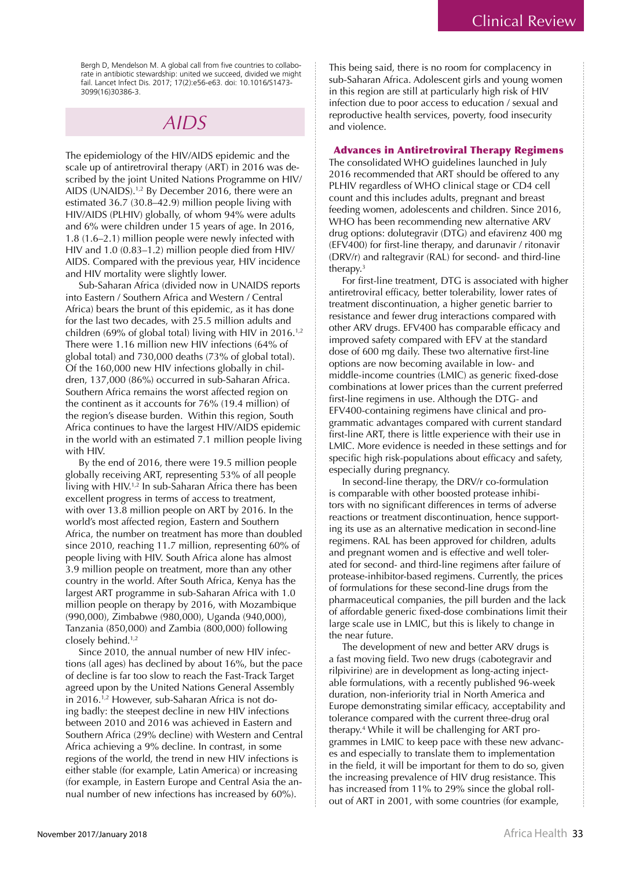Bergh D, Mendelson M. A global call from five countries to collaborate in antibiotic stewardship: united we succeed, divided we might fail. Lancet Infect Dis. 2017; 17(2):e56-e63. doi: 10.1016/S1473-3099(16)30386-3.

### **AIDS**

The epidemiology of the HIV/AIDS epidemic and the scale up of antiretroviral therapy (ART) in 2016 was described by the joint United Nations Programme on HIV/ AIDS (UNAIDS).<sup>1,2</sup> By December 2016, there were an estimated  $36.7$  ( $30.8-42.9$ ) million people living with HIV/AIDS (PLHIV) globally, of whom 94% were adults and 6% were children under 15 years of age. In 2016, 1.8 (1.6–2.1) million people were newly infected with HIV and 1.0 (0.83-1.2) million people died from HIV/ AIDS. Compared with the previous year, HIV incidence and HIV mortality were slightly lower.

Sub-Saharan Africa (divided now in UNAIDS reports into Eastern / Southern Africa and Western / Central Africa) bears the brunt of this epidemic, as it has done for the last two decades, with 25.5 million adults and children (69% of global total) living with HIV in 2016.<sup>1,2</sup> There were 1.16 million new HIV infections (64% of global total) and 730,000 deaths (73% of global total). Of the 160,000 new HIV infections globally in children, 137,000 (86%) occurred in sub-Saharan Africa. Southern Africa remains the worst affected region on the continent as it accounts for 76% (19.4 million) of the region's disease burden. Within this region, South Africa continues to have the largest HIV/AIDS epidemic in the world with an estimated 7.1 million people living with HIV.

By the end of 2016, there were 19.5 million people globally receiving ART, representing 53% of all people living with HIV.<sup>1,2</sup> In sub-Saharan Africa there has been excellent progress in terms of access to treatment, with over 13.8 million people on ART by 2016. In the world's most affected region, Eastern and Southern Africa, the number on treatment has more than doubled since 2010, reaching 11.7 million, representing 60% of people living with HIV. South Africa alone has almost 3.9 million people on treatment, more than any other country in the world. After South Africa, Kenya has the largest ART programme in sub-Saharan Africa with 1.0 million people on therapy by 2016, with Mozambique (990,000), Zimbabwe (980,000), Uganda (940,000), Tanzania (850,000) and Zambia (800,000) following closely behind.<sup>1,2</sup>

Since 2010, the annual number of new HIV infections (all ages) has declined by about 16%, but the pace of decline is far too slow to reach the Fast-Track Target agreed upon by the United Nations General Assembly in 2016.<sup>1,2</sup> However, sub-Saharan Africa is not doing badly: the steepest decline in new HIV infections between 2010 and 2016 was achieved in Eastern and Southern Africa (29% decline) with Western and Central Africa achieving a 9% decline. In contrast, in some regions of the world, the trend in new HIV infections is either stable (for example, Latin America) or increasing (for example, in Eastern Europe and Central Asia the annual number of new infections has increased by 60%).

This being said, there is no room for complacency in sub-Saharan Africa. Adolescent girls and young women in this region are still at particularly high risk of HIV infection due to poor access to education / sexual and reproductive health services, poverty, food insecurity and violence.

### **Advances in Antiretroviral Therapy Regimens**

The consolidated WHO guidelines launched in July 2016 recommended that ART should be offered to any PLHIV regardless of WHO clinical stage or CD4 cell count and this includes adults, pregnant and breast feeding women, adolescents and children. Since 2016, WHO has been recommending new alternative ARV drug options: dolutegravir ( $DTG$ ) and efavirenz 400 mg (EFV400) for first-line therapy, and darunavir / ritonavir (DRV/r) and raltegravir (RAL) for second- and third-line therapy. $3$ 

For first-line treatment, DTG is associated with higher antiretroviral efficacy, better tolerability, lower rates of treatment discontinuation, a higher genetic barrier to resistance and fewer drug interactions compared with other ARV drugs. EFV400 has comparable efficacy and improved safety compared with EFV at the standard dose of 600 mg daily. These two alternative first-line options are now becoming available in low- and middle-income countries (LMIC) as generic fixed-dose combinations at lower prices than the current preferred first-line regimens in use. Although the DTG- and EFV400-containing regimens have clinical and programmatic advantages compared with current standard first-line ART, there is little experience with their use in LMIC. More evidence is needed in these settings and for specific high risk-populations about efficacy and safety, especially during pregnancy.

In second-line therapy, the DRV/r co-formulation is comparable with other boosted protease inhibitors with no significant differences in terms of adverse reactions or treatment discontinuation, hence supporting its use as an alternative medication in second-line regimens. RAL has been approved for children, adults and pregnant women and is effective and well tolerated for second- and third-line regimens after failure of protease-inhibitor-based regimens. Currently, the prices of formulations for these second-line drugs from the pharmaceutical companies, the pill burden and the lack of affordable generic fixed-dose combinations limit their large scale use in LMIC, but this is likely to change in the near future.

The development of new and better ARV drugs is a fast moving field. Two new drugs (cabotegravir and rilpivirine) are in development as long-acting injectable formulations, with a recently published 96-week duration, non-inferiority trial in North America and Europe demonstrating similar efficacy, acceptability and tolerance compared with the current three-drug oral therapy.<sup>4</sup> While it will be challenging for ART programmes in LMIC to keep pace with these new advances and especially to translate them to implementation in the field, it will be important for them to do so, given the increasing prevalence of HIV drug resistance. This has increased from 11% to 29% since the global rollout of ART in 2001, with some countries (for example,